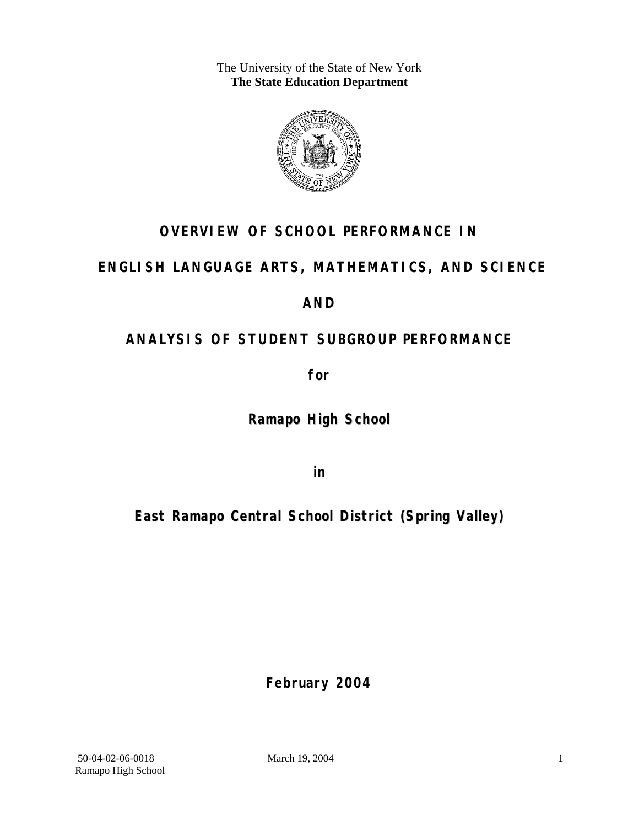The University of the State of New York **The State Education Department** 



# **OVERVIEW OF SCHOOL PERFORMANCE IN**

# **ENGLISH LANGUAGE ARTS, MATHEMATICS, AND SCIENCE**

# **AND**

# **ANALYSIS OF STUDENT SUBGROUP PERFORMANCE**

**for** 

**Ramapo High School**

**in** 

**East Ramapo Central School District (Spring Valley)**

**February 2004**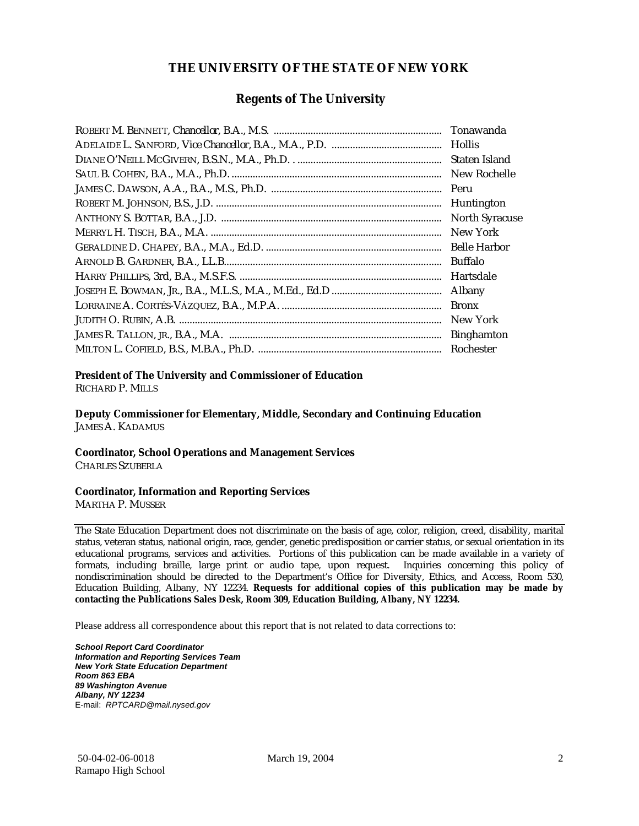### **THE UNIVERSITY OF THE STATE OF NEW YORK**

### **Regents of The University**

| Tonawanda             |
|-----------------------|
| <b>Hollis</b>         |
| Staten Island         |
| New Rochelle          |
| Peru                  |
| Huntington            |
| <b>North Syracuse</b> |
| New York              |
| <b>Belle Harbor</b>   |
| <b>Buffalo</b>        |
| Hartsdale             |
| Albany                |
| <b>Bronx</b>          |
| New York              |
| <b>Binghamton</b>     |
| Rochester             |

#### **President of The University and Commissioner of Education**

RICHARD P. MILLS

**Deputy Commissioner for Elementary, Middle, Secondary and Continuing Education**  JAMES A. KADAMUS

#### **Coordinator, School Operations and Management Services**

CHARLES SZUBERLA

#### **Coordinator, Information and Reporting Services**

MARTHA P. MUSSER

The State Education Department does not discriminate on the basis of age, color, religion, creed, disability, marital status, veteran status, national origin, race, gender, genetic predisposition or carrier status, or sexual orientation in its educational programs, services and activities. Portions of this publication can be made available in a variety of formats, including braille, large print or audio tape, upon request. Inquiries concerning this policy of nondiscrimination should be directed to the Department's Office for Diversity, Ethics, and Access, Room 530, Education Building, Albany, NY 12234. **Requests for additional copies of this publication may be made by contacting the Publications Sales Desk, Room 309, Education Building, Albany, NY 12234.** 

Please address all correspondence about this report that is not related to data corrections to:

*School Report Card Coordinator Information and Reporting Services Team New York State Education Department Room 863 EBA 89 Washington Avenue Albany, NY 12234*  E-mail: *RPTCARD@mail.nysed.gov*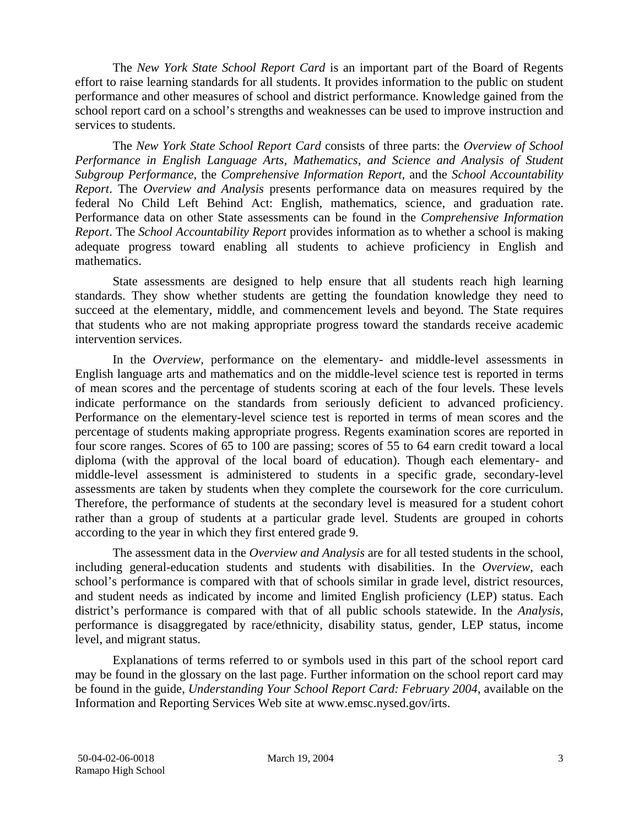The *New York State School Report Card* is an important part of the Board of Regents effort to raise learning standards for all students. It provides information to the public on student performance and other measures of school and district performance. Knowledge gained from the school report card on a school's strengths and weaknesses can be used to improve instruction and services to students.

The *New York State School Report Card* consists of three parts: the *Overview of School Performance in English Language Arts, Mathematics, and Science and Analysis of Student Subgroup Performance,* the *Comprehensive Information Report,* and the *School Accountability Report*. The *Overview and Analysis* presents performance data on measures required by the federal No Child Left Behind Act: English, mathematics, science, and graduation rate. Performance data on other State assessments can be found in the *Comprehensive Information Report*. The *School Accountability Report* provides information as to whether a school is making adequate progress toward enabling all students to achieve proficiency in English and mathematics.

State assessments are designed to help ensure that all students reach high learning standards. They show whether students are getting the foundation knowledge they need to succeed at the elementary, middle, and commencement levels and beyond. The State requires that students who are not making appropriate progress toward the standards receive academic intervention services.

In the *Overview*, performance on the elementary- and middle-level assessments in English language arts and mathematics and on the middle-level science test is reported in terms of mean scores and the percentage of students scoring at each of the four levels. These levels indicate performance on the standards from seriously deficient to advanced proficiency. Performance on the elementary-level science test is reported in terms of mean scores and the percentage of students making appropriate progress. Regents examination scores are reported in four score ranges. Scores of 65 to 100 are passing; scores of 55 to 64 earn credit toward a local diploma (with the approval of the local board of education). Though each elementary- and middle-level assessment is administered to students in a specific grade, secondary-level assessments are taken by students when they complete the coursework for the core curriculum. Therefore, the performance of students at the secondary level is measured for a student cohort rather than a group of students at a particular grade level. Students are grouped in cohorts according to the year in which they first entered grade 9.

The assessment data in the *Overview and Analysis* are for all tested students in the school, including general-education students and students with disabilities. In the *Overview*, each school's performance is compared with that of schools similar in grade level, district resources, and student needs as indicated by income and limited English proficiency (LEP) status. Each district's performance is compared with that of all public schools statewide. In the *Analysis*, performance is disaggregated by race/ethnicity, disability status, gender, LEP status, income level, and migrant status.

Explanations of terms referred to or symbols used in this part of the school report card may be found in the glossary on the last page. Further information on the school report card may be found in the guide, *Understanding Your School Report Card: February 2004*, available on the Information and Reporting Services Web site at www.emsc.nysed.gov/irts.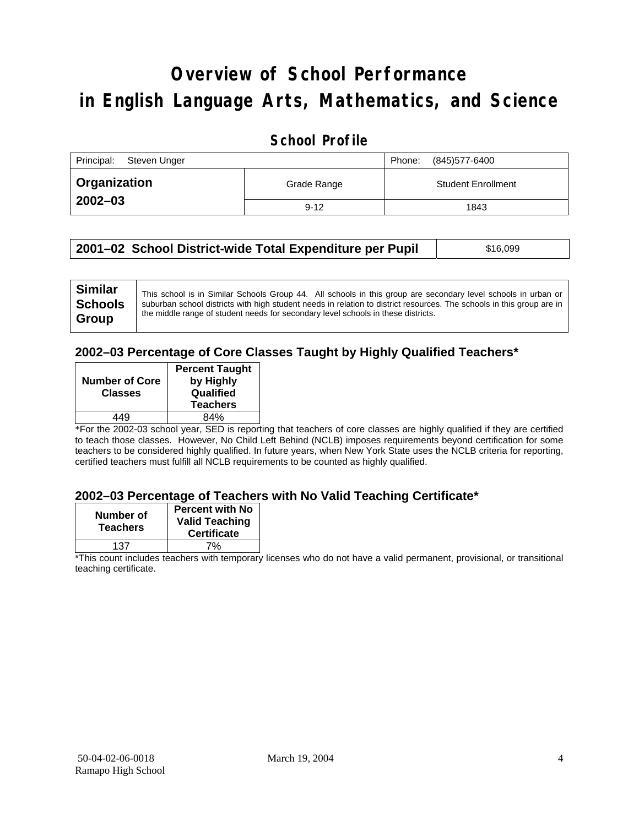# **Overview of School Performance in English Language Arts, Mathematics, and Science**

### **School Profile**

| Principal:<br>Steven Unger | (845) 577-6400<br>Phone: |                           |
|----------------------------|--------------------------|---------------------------|
| <b>Organization</b>        | Grade Range              | <b>Student Enrollment</b> |
| $2002 - 03$                | $9 - 12$                 | 1843                      |

### **2001–02 School District-wide Total Expenditure per Pupil | \$16,099**

### **2002–03 Percentage of Core Classes Taught by Highly Qualified Teachers\***

| <b>Number of Core</b><br><b>Classes</b> | <b>Percent Taught</b><br>by Highly<br>Qualified<br><b>Teachers</b> |
|-----------------------------------------|--------------------------------------------------------------------|
| 449                                     | 84%                                                                |
|                                         |                                                                    |

\*For the 2002-03 school year, SED is reporting that teachers of core classes are highly qualified if they are certified to teach those classes. However, No Child Left Behind (NCLB) imposes requirements beyond certification for some teachers to be considered highly qualified. In future years, when New York State uses the NCLB criteria for reporting, certified teachers must fulfill all NCLB requirements to be counted as highly qualified.

#### **2002–03 Percentage of Teachers with No Valid Teaching Certificate\***

| Number of<br><b>Teachers</b> | <b>Percent with No</b><br><b>Valid Teaching</b><br><b>Certificate</b> |
|------------------------------|-----------------------------------------------------------------------|
| 137                          | 7%                                                                    |

\*This count includes teachers with temporary licenses who do not have a valid permanent, provisional, or transitional teaching certificate.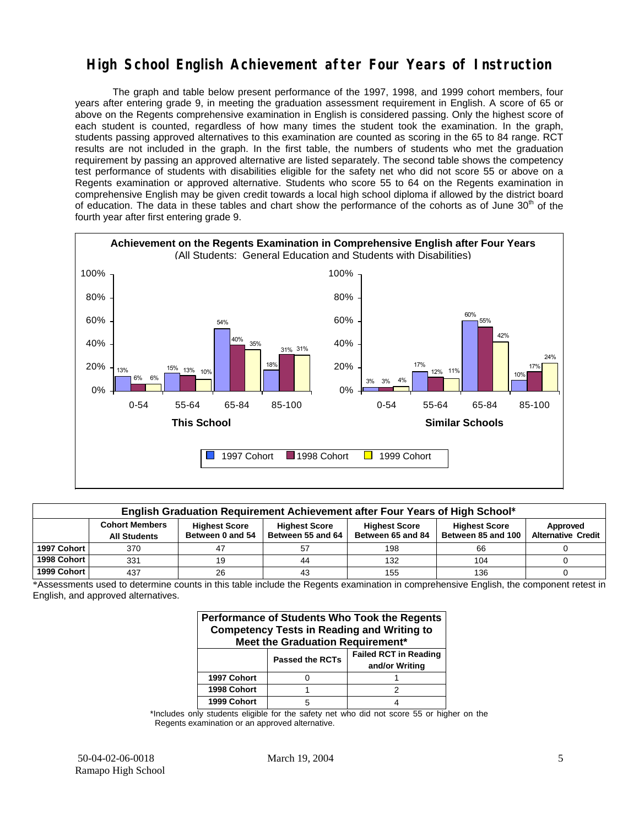## **High School English Achievement after Four Years of Instruction**

The graph and table below present performance of the 1997, 1998, and 1999 cohort members, four years after entering grade 9, in meeting the graduation assessment requirement in English. A score of 65 or above on the Regents comprehensive examination in English is considered passing. Only the highest score of each student is counted, regardless of how many times the student took the examination. In the graph, students passing approved alternatives to this examination are counted as scoring in the 65 to 84 range. RCT results are not included in the graph. In the first table, the numbers of students who met the graduation requirement by passing an approved alternative are listed separately. The second table shows the competency test performance of students with disabilities eligible for the safety net who did not score 55 or above on a Regents examination or approved alternative. Students who score 55 to 64 on the Regents examination in comprehensive English may be given credit towards a local high school diploma if allowed by the district board of education. The data in these tables and chart show the performance of the cohorts as of June  $30<sup>th</sup>$  of the fourth year after first entering grade 9.



| English Graduation Requirement Achievement after Four Years of High School* |                                                                                                                                                                                                                                                                           |    |    |     |     |  |  |  |  |  |  |
|-----------------------------------------------------------------------------|---------------------------------------------------------------------------------------------------------------------------------------------------------------------------------------------------------------------------------------------------------------------------|----|----|-----|-----|--|--|--|--|--|--|
|                                                                             | <b>Cohort Members</b><br><b>Highest Score</b><br><b>Highest Score</b><br><b>Highest Score</b><br><b>Highest Score</b><br>Approved<br>Between 55 and 64<br>Between 85 and 100<br>Between 0 and 54<br><b>Alternative Credit</b><br>Between 65 and 84<br><b>All Students</b> |    |    |     |     |  |  |  |  |  |  |
|                                                                             |                                                                                                                                                                                                                                                                           |    |    |     |     |  |  |  |  |  |  |
| 1997 Cohort                                                                 | 370                                                                                                                                                                                                                                                                       | 47 | 57 | 198 | 66  |  |  |  |  |  |  |
| 1998 Cohort                                                                 | 331                                                                                                                                                                                                                                                                       | 19 | 44 | 132 | 104 |  |  |  |  |  |  |
| 1999 Cohort                                                                 | 437                                                                                                                                                                                                                                                                       | 26 | 43 | 155 | 136 |  |  |  |  |  |  |

\*Assessments used to determine counts in this table include the Regents examination in comprehensive English, the component retest in English, and approved alternatives.

| Performance of Students Who Took the Regents<br><b>Competency Tests in Reading and Writing to</b><br>Meet the Graduation Requirement* |  |  |  |  |  |  |  |  |
|---------------------------------------------------------------------------------------------------------------------------------------|--|--|--|--|--|--|--|--|
| <b>Failed RCT in Reading</b><br><b>Passed the RCTs</b><br>and/or Writing                                                              |  |  |  |  |  |  |  |  |
| 1997 Cohort                                                                                                                           |  |  |  |  |  |  |  |  |
| 1998 Cohort                                                                                                                           |  |  |  |  |  |  |  |  |
| 1999 Cohort                                                                                                                           |  |  |  |  |  |  |  |  |

\*Includes only students eligible for the safety net who did not score 55 or higher on the Regents examination or an approved alternative.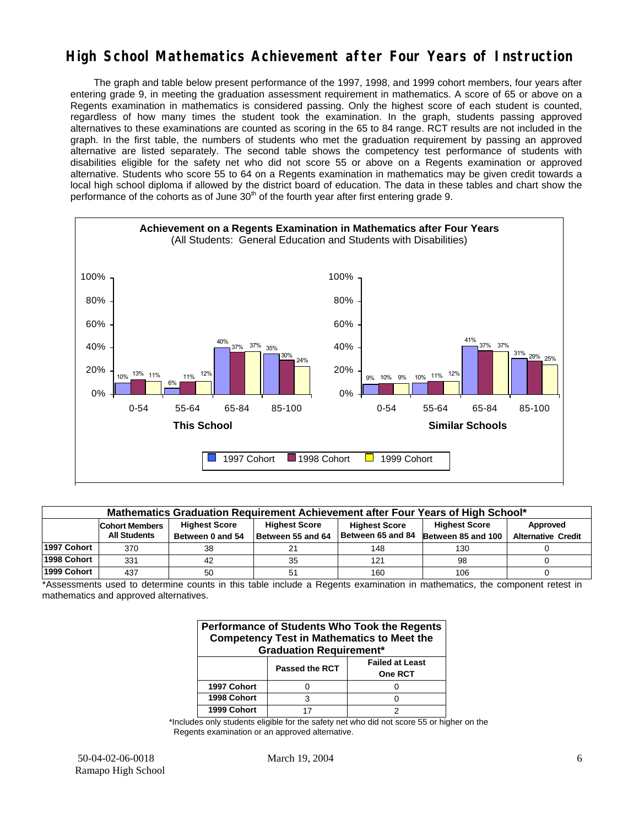## **High School Mathematics Achievement after Four Years of Instruction**

The graph and table below present performance of the 1997, 1998, and 1999 cohort members, four years after entering grade 9, in meeting the graduation assessment requirement in mathematics. A score of 65 or above on a Regents examination in mathematics is considered passing. Only the highest score of each student is counted, regardless of how many times the student took the examination. In the graph, students passing approved alternatives to these examinations are counted as scoring in the 65 to 84 range. RCT results are not included in the graph. In the first table, the numbers of students who met the graduation requirement by passing an approved alternative are listed separately. The second table shows the competency test performance of students with disabilities eligible for the safety net who did not score 55 or above on a Regents examination or approved alternative. Students who score 55 to 64 on a Regents examination in mathematics may be given credit towards a local high school diploma if allowed by the district board of education. The data in these tables and chart show the performance of the cohorts as of June  $30<sup>th</sup>$  of the fourth year after first entering grade 9.



| Mathematics Graduation Requirement Achievement after Four Years of High School* |                                                                                                                                   |                  |                   |                   |                    |                           |  |  |  |  |
|---------------------------------------------------------------------------------|-----------------------------------------------------------------------------------------------------------------------------------|------------------|-------------------|-------------------|--------------------|---------------------------|--|--|--|--|
|                                                                                 | <b>Highest Score</b><br><b>Highest Score</b><br><b>Highest Score</b><br>Approved<br><b>Cohort Members</b><br><b>Highest Score</b> |                  |                   |                   |                    |                           |  |  |  |  |
|                                                                                 | <b>All Students</b>                                                                                                               | Between 0 and 54 | Between 55 and 64 | Between 65 and 84 | Between 85 and 100 | <b>Alternative Credit</b> |  |  |  |  |
| 1997 Cohort                                                                     | 370                                                                                                                               | 38               | 21                | 148               | 130                |                           |  |  |  |  |
| 1998 Cohort                                                                     | 331                                                                                                                               | 42               | 35                | 121               | 98                 |                           |  |  |  |  |
| 1999 Cohort                                                                     | 437                                                                                                                               | 50               | 51                | 160               | 106                |                           |  |  |  |  |

\*Assessments used to determine counts in this table include a Regents examination in mathematics, the component retest in mathematics and approved alternatives.

| Performance of Students Who Took the Regents<br><b>Competency Test in Mathematics to Meet the</b><br><b>Graduation Requirement*</b> |  |  |  |  |  |  |  |  |
|-------------------------------------------------------------------------------------------------------------------------------------|--|--|--|--|--|--|--|--|
| <b>Failed at Least</b><br><b>Passed the RCT</b><br>One RCT                                                                          |  |  |  |  |  |  |  |  |
| 1997 Cohort                                                                                                                         |  |  |  |  |  |  |  |  |
| 1998 Cohort                                                                                                                         |  |  |  |  |  |  |  |  |
| 1999 Cohort                                                                                                                         |  |  |  |  |  |  |  |  |

\*Includes only students eligible for the safety net who did not score 55 or higher on the Regents examination or an approved alternative.

 50-04-02-06-0018 March 19, 2004 Ramapo High School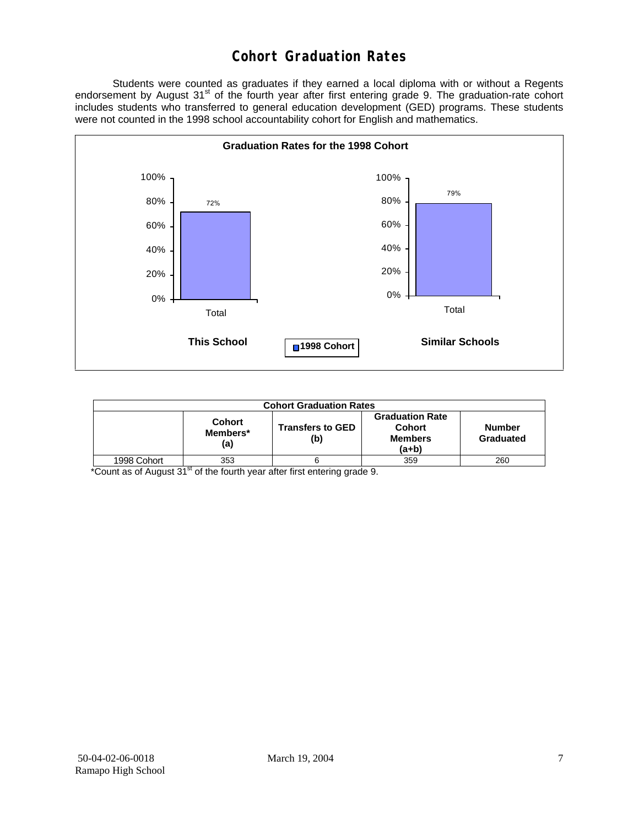# **Cohort Graduation Rates**

 Students were counted as graduates if they earned a local diploma with or without a Regents endorsement by August 31<sup>st</sup> of the fourth year after first entering grade 9. The graduation-rate cohort includes students who transferred to general education development (GED) programs. These students were not counted in the 1998 school accountability cohort for English and mathematics.



| <b>Cohort Graduation Rates</b> |                                  |                                |                                                               |                            |  |  |  |
|--------------------------------|----------------------------------|--------------------------------|---------------------------------------------------------------|----------------------------|--|--|--|
|                                | <b>Cohort</b><br>Members*<br>(a) | <b>Transfers to GED</b><br>(b) | <b>Graduation Rate</b><br>Cohort<br><b>Members</b><br>$(a+b)$ | <b>Number</b><br>Graduated |  |  |  |
| 1998 Cohort                    | 353                              |                                | 359                                                           | 260                        |  |  |  |

\*Count as of August 31<sup>st</sup> of the fourth year after first entering grade 9.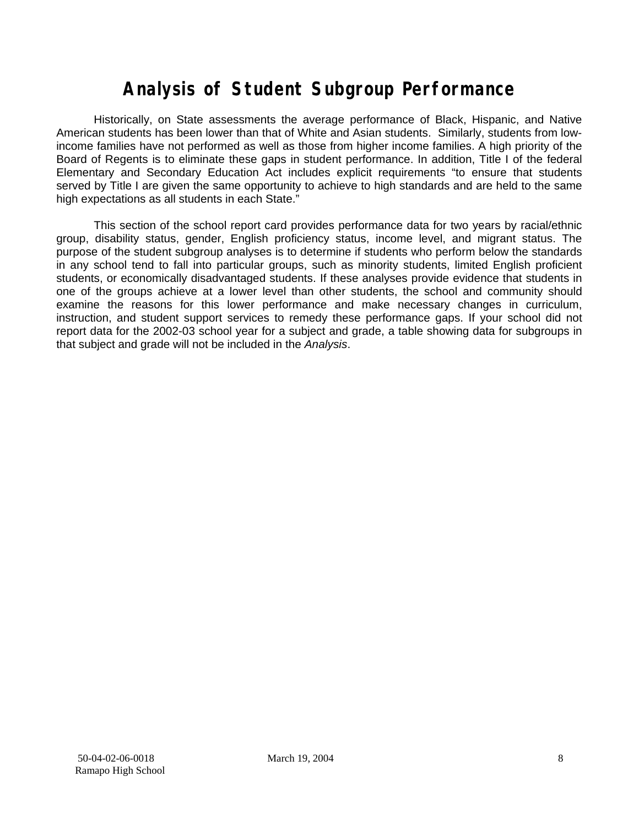# **Analysis of Student Subgroup Performance**

Historically, on State assessments the average performance of Black, Hispanic, and Native American students has been lower than that of White and Asian students. Similarly, students from lowincome families have not performed as well as those from higher income families. A high priority of the Board of Regents is to eliminate these gaps in student performance. In addition, Title I of the federal Elementary and Secondary Education Act includes explicit requirements "to ensure that students served by Title I are given the same opportunity to achieve to high standards and are held to the same high expectations as all students in each State."

This section of the school report card provides performance data for two years by racial/ethnic group, disability status, gender, English proficiency status, income level, and migrant status. The purpose of the student subgroup analyses is to determine if students who perform below the standards in any school tend to fall into particular groups, such as minority students, limited English proficient students, or economically disadvantaged students. If these analyses provide evidence that students in one of the groups achieve at a lower level than other students, the school and community should examine the reasons for this lower performance and make necessary changes in curriculum, instruction, and student support services to remedy these performance gaps. If your school did not report data for the 2002-03 school year for a subject and grade, a table showing data for subgroups in that subject and grade will not be included in the *Analysis*.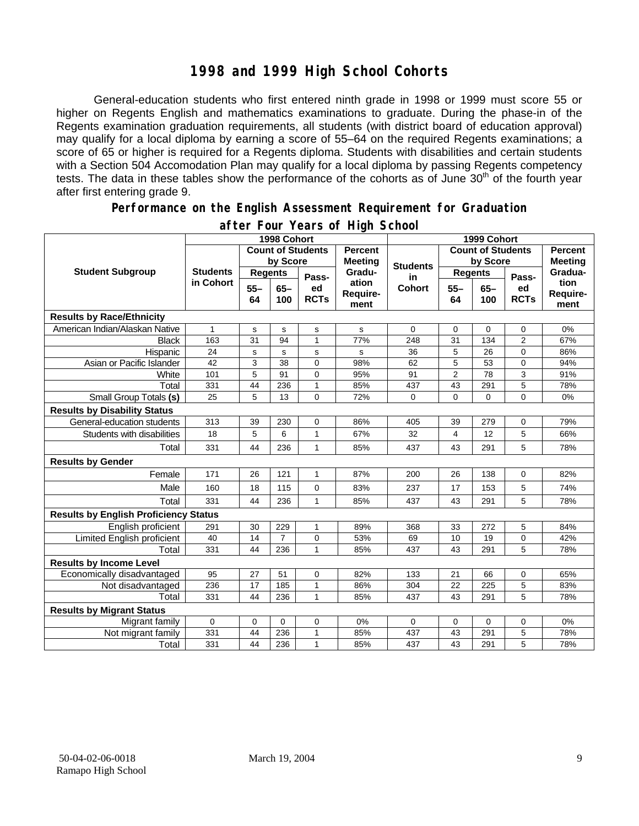### **1998 and 1999 High School Cohorts**

General-education students who first entered ninth grade in 1998 or 1999 must score 55 or higher on Regents English and mathematics examinations to graduate. During the phase-in of the Regents examination graduation requirements, all students (with district board of education approval) may qualify for a local diploma by earning a score of 55–64 on the required Regents examinations; a score of 65 or higher is required for a Regents diploma. Students with disabilities and certain students with a Section 504 Accomodation Plan may qualify for a local diploma by passing Regents competency tests. The data in these tables show the performance of the cohorts as of June 30<sup>th</sup> of the fourth year after first entering grade 9.

#### **Performance on the English Assessment Requirement for Graduation**

|                                              | 1998 Cohort     |                 |                |                          |                           | 1999 Cohort     |                          |                |                   |                                  |
|----------------------------------------------|-----------------|-----------------|----------------|--------------------------|---------------------------|-----------------|--------------------------|----------------|-------------------|----------------------------------|
|                                              |                 |                 |                | <b>Count of Students</b> | <b>Percent</b>            |                 | <b>Count of Students</b> |                |                   | <b>Percent</b><br><b>Meeting</b> |
|                                              |                 |                 | by Score       |                          | <b>Meeting</b>            | <b>Students</b> | by Score                 |                |                   |                                  |
| <b>Student Subgroup</b>                      | <b>Students</b> | <b>Regents</b>  |                | Pass-                    | Gradu-                    | in              |                          | <b>Regents</b> | Pass-             | Gradua-                          |
|                                              | in Cohort       | $55 -$<br>64    | $65-$<br>100   | ed<br><b>RCTs</b>        | ation<br>Require-<br>ment | <b>Cohort</b>   | $55 -$<br>64             | $65 -$<br>100  | ed<br><b>RCTs</b> | tion<br>Require-<br>ment         |
| <b>Results by Race/Ethnicity</b>             |                 |                 |                |                          |                           |                 |                          |                |                   |                                  |
| American Indian/Alaskan Native               | $\mathbf{1}$    | s               | s              | s                        | s                         | $\Omega$        | $\mathbf 0$              | $\Omega$       | $\mathbf 0$       | 0%                               |
| <b>Black</b>                                 | 163             | 31              | 94             | 1                        | 77%                       | 248             | 31                       | 134            | $\overline{2}$    | 67%                              |
| Hispanic                                     | 24              | s               | s              | s                        | s                         | 36              | 5                        | 26             | 0                 | 86%                              |
| Asian or Pacific Islander                    | 42              | 3               | 38             | $\Omega$                 | 98%                       | 62              | $\overline{5}$           | 53             | 0                 | 94%                              |
| White                                        | 101             | 5               | 91             | $\Omega$                 | 95%                       | 91              | $\overline{2}$           | 78             | 3                 | 91%                              |
| Total                                        | 331             | $\overline{44}$ | 236            | $\mathbf{1}$             | 85%                       | 437             | 43                       | 291            | 5                 | 78%                              |
| Small Group Totals (s)                       | 25              | 5               | 13             | $\Omega$                 | 72%                       | $\Omega$        | $\overline{0}$           | $\Omega$       | $\overline{0}$    | 0%                               |
| <b>Results by Disability Status</b>          |                 |                 |                |                          |                           |                 |                          |                |                   |                                  |
| General-education students                   | 313             | 39              | 230            | 0                        | 86%                       | 405             | 39                       | 279            | 0                 | 79%                              |
| Students with disabilities                   | 18              | 5               | 6              | $\mathbf{1}$             | 67%                       | 32              | $\overline{4}$           | 12             | 5                 | 66%                              |
| Total                                        | 331             | 44              | 236            | $\mathbf{1}$             | 85%                       | 437             | 43                       | 291            | 5                 | 78%                              |
| <b>Results by Gender</b>                     |                 |                 |                |                          |                           |                 |                          |                |                   |                                  |
| Female                                       | 171             | 26              | 121            | $\mathbf{1}$             | 87%                       | 200             | 26                       | 138            | $\Omega$          | 82%                              |
| Male                                         | 160             | 18              | 115            | $\Omega$                 | 83%                       | 237             | 17                       | 153            | 5                 | 74%                              |
| Total                                        | 331             | 44              | 236            | $\mathbf{1}$             | 85%                       | 437             | 43                       | 291            | 5                 | 78%                              |
| <b>Results by English Proficiency Status</b> |                 |                 |                |                          |                           |                 |                          |                |                   |                                  |
| English proficient                           | 291             | 30              | 229            | $\mathbf{1}$             | 89%                       | 368             | 33                       | 272            | 5                 | 84%                              |
| Limited English proficient                   | 40              | 14              | $\overline{7}$ | $\mathbf 0$              | 53%                       | 69              | 10                       | 19             | 0                 | 42%                              |
| Total                                        | 331             | 44              | 236            | $\mathbf{1}$             | 85%                       | 437             | 43                       | 291            | 5                 | 78%                              |
| <b>Results by Income Level</b>               |                 |                 |                |                          |                           |                 |                          |                |                   |                                  |
| Economically disadvantaged                   | 95              | 27              | 51             | $\mathbf 0$              | 82%                       | 133             | 21                       | 66             | 0                 | 65%                              |
| Not disadvantaged                            | 236             | 17              | 185            | $\mathbf{1}$             | 86%                       | 304             | 22                       | 225            | 5                 | 83%                              |
| Total                                        | 331             | 44              | 236            | $\mathbf{1}$             | 85%                       | 437             | 43                       | 291            | 5                 | 78%                              |
| <b>Results by Migrant Status</b>             |                 |                 |                |                          |                           |                 |                          |                |                   |                                  |
| Migrant family                               | $\mathbf 0$     | 0               | 0              | $\mathbf 0$              | 0%                        | 0               | 0                        | $\mathbf{0}$   | 0                 | 0%                               |
| Not migrant family                           | 331             | 44              | 236            | 1                        | 85%                       | 437             | 43                       | 291            | 5                 | 78%                              |
| Total                                        | 331             | 44              | 236            | $\mathbf{1}$             | 85%                       | 437             | 43                       | 291            | 5                 | 78%                              |

### **after Four Years of High School**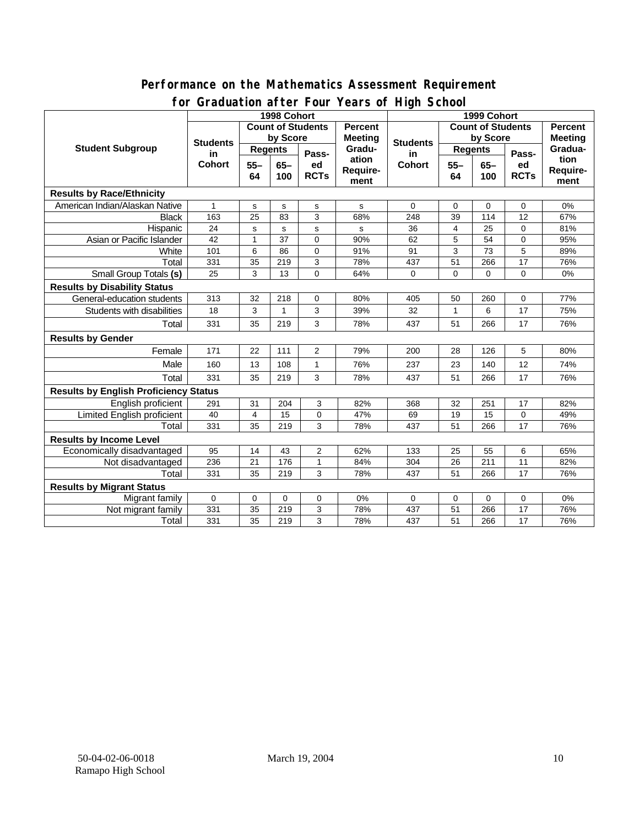### **Performance on the Mathematics Assessment Requirement for Graduation after Four Years of High School**

|                                              |                     |                | 1998 Cohort |                          |                 | ordduatholl artor roar roars o'r rhyn Sonool<br>1999 Cohort |                          |                |                |                |
|----------------------------------------------|---------------------|----------------|-------------|--------------------------|-----------------|-------------------------------------------------------------|--------------------------|----------------|----------------|----------------|
|                                              |                     |                |             | <b>Count of Students</b> | Percent         |                                                             | <b>Count of Students</b> |                |                | <b>Percent</b> |
|                                              |                     | by Score       |             | <b>Meeting</b>           |                 |                                                             | by Score                 |                | <b>Meeting</b> |                |
| <b>Student Subgroup</b>                      | <b>Students</b>     | <b>Regents</b> |             |                          | Gradu-          | <b>Students</b>                                             |                          | <b>Regents</b> |                | Gradua-        |
|                                              | in<br><b>Cohort</b> | $55 -$         | $65 -$      | Pass-<br>ed              | ation           | in<br><b>Cohort</b>                                         | $55 -$                   | $65-$          | Pass-<br>ed    | tion           |
|                                              |                     | 64             | 100         | <b>RCTs</b>              | <b>Require-</b> |                                                             | 64                       | 100            | <b>RCTs</b>    | Require-       |
|                                              |                     |                |             |                          | ment            |                                                             |                          |                |                | ment           |
| <b>Results by Race/Ethnicity</b>             |                     |                |             |                          |                 |                                                             |                          |                |                |                |
| American Indian/Alaskan Native               | 1                   | s              | s           | s                        | s               | 0                                                           | $\Omega$                 | $\Omega$       | $\Omega$       | 0%             |
| <b>Black</b>                                 | 163                 | 25             | 83          | 3                        | 68%             | 248                                                         | 39                       | 114            | 12             | 67%            |
| Hispanic                                     | 24                  | s              | $\mathbf s$ | $\mathbf s$              | s               | 36                                                          | 4                        | 25             | 0              | 81%            |
| Asian or Pacific Islander                    | 42                  | 1              | 37          | $\Omega$                 | 90%             | 62                                                          | 5                        | 54             | 0              | 95%            |
| White                                        | 101                 | 6              | 86          | $\mathbf 0$              | 91%             | 91                                                          | 3                        | 73             | 5              | 89%            |
| Total                                        | 331                 | 35             | 219         | 3                        | 78%             | 437                                                         | 51                       | 266            | 17             | 76%            |
| Small Group Totals (s)                       | 25                  | 3              | 13          | 0                        | 64%             | 0                                                           | $\mathbf 0$              | 0              | 0              | 0%             |
| <b>Results by Disability Status</b>          |                     |                |             |                          |                 |                                                             |                          |                |                |                |
| General-education students                   | 313                 | 32             | 218         | 0                        | 80%             | 405                                                         | 50                       | 260            | 0              | 77%            |
| Students with disabilities                   | 18                  | 3              | 1           | 3                        | 39%             | 32                                                          | 1                        | 6              | 17             | 75%            |
| Total                                        | 331                 | 35             | 219         | 3                        | 78%             | 437                                                         | 51                       | 266            | 17             | 76%            |
| <b>Results by Gender</b>                     |                     |                |             |                          |                 |                                                             |                          |                |                |                |
| Female                                       | 171                 | 22             | 111         | 2                        | 79%             | 200                                                         | 28                       | 126            | 5              | 80%            |
| Male                                         | 160                 | 13             | 108         | $\mathbf{1}$             | 76%             | 237                                                         | 23                       | 140            | 12             | 74%            |
| Total                                        | 331                 | 35             | 219         | 3                        | 78%             | 437                                                         | 51                       | 266            | 17             | 76%            |
| <b>Results by English Proficiency Status</b> |                     |                |             |                          |                 |                                                             |                          |                |                |                |
| English proficient                           | 291                 | 31             | 204         | 3                        | 82%             | 368                                                         | 32                       | 251            | 17             | 82%            |
| Limited English proficient                   | 40                  | $\overline{4}$ | 15          | 0                        | 47%             | 69                                                          | 19                       | 15             | 0              | 49%            |
| Total                                        | 331                 | 35             | 219         | 3                        | 78%             | 437                                                         | 51                       | 266            | 17             | 76%            |
| <b>Results by Income Level</b>               |                     |                |             |                          |                 |                                                             |                          |                |                |                |
| Economically disadvantaged                   | 95                  | 14             | 43          | 2                        | 62%             | 133                                                         | 25                       | 55             | 6              | 65%            |
| Not disadvantaged                            | 236                 | 21             | 176         | $\mathbf{1}$             | 84%             | 304                                                         | 26                       | 211            | 11             | 82%            |
| Total                                        | 331                 | 35             | 219         | 3                        | 78%             | 437                                                         | 51                       | 266            | 17             | 76%            |
| <b>Results by Migrant Status</b>             |                     |                |             |                          |                 |                                                             |                          |                |                |                |
| Migrant family                               | $\mathbf 0$         | $\mathbf 0$    | 0           | 0                        | 0%              | 0                                                           | 0                        | 0              | 0              | 0%             |
| Not migrant family                           | 331                 | 35             | 219         | 3                        | 78%             | 437                                                         | 51                       | 266            | 17             | 76%            |
| Total                                        | 331                 | 35             | 219         | 3                        | 78%             | 437                                                         | 51                       | 266            | 17             | 76%            |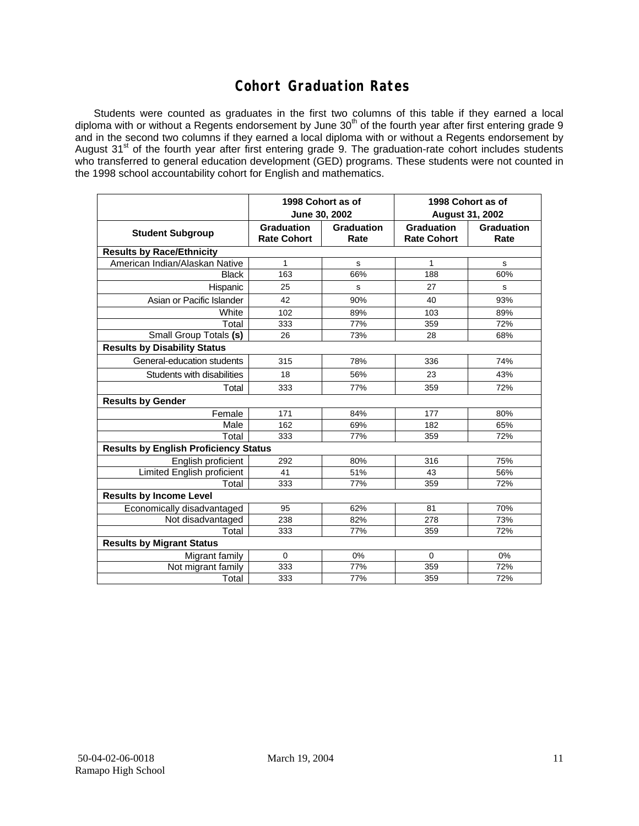## **Cohort Graduation Rates**

Students were counted as graduates in the first two columns of this table if they earned a local diploma with or without a Regents endorsement by June 30<sup>th</sup> of the fourth year after first entering grade 9 and in the second two columns if they earned a local diploma with or without a Regents endorsement by August 31<sup>st</sup> of the fourth year after first entering grade 9. The graduation-rate cohort includes students who transferred to general education development (GED) programs. These students were not counted in the 1998 school accountability cohort for English and mathematics.

|                                              | 1998 Cohort as of<br>June 30, 2002      |                           | 1998 Cohort as of<br><b>August 31, 2002</b> |                           |
|----------------------------------------------|-----------------------------------------|---------------------------|---------------------------------------------|---------------------------|
| <b>Student Subgroup</b>                      | <b>Graduation</b><br><b>Rate Cohort</b> | <b>Graduation</b><br>Rate | <b>Graduation</b><br><b>Rate Cohort</b>     | <b>Graduation</b><br>Rate |
| <b>Results by Race/Ethnicity</b>             |                                         |                           |                                             |                           |
| American Indian/Alaskan Native               | 1                                       | s                         | 1                                           | s                         |
| <b>Black</b>                                 | 163                                     | 66%                       | 188                                         | 60%                       |
| Hispanic                                     | 25                                      | s                         | 27                                          | s                         |
| Asian or Pacific Islander                    | 42                                      | 90%                       | 40                                          | 93%                       |
| White                                        | 102                                     | 89%                       | 103                                         | 89%                       |
| Total                                        | 333                                     | 77%                       | 359                                         | 72%                       |
| Small Group Totals (s)                       | 26                                      | 73%                       | 28                                          | 68%                       |
| <b>Results by Disability Status</b>          |                                         |                           |                                             |                           |
| General-education students                   | 315                                     | 78%                       | 336                                         | 74%                       |
| Students with disabilities                   | 18                                      | 56%                       | 23                                          | 43%                       |
| Total                                        | 333                                     | 77%                       | 359                                         | 72%                       |
| <b>Results by Gender</b>                     |                                         |                           |                                             |                           |
| Female                                       | 171                                     | 84%                       | 177                                         | 80%                       |
| Male                                         | 162                                     | 69%                       | 182                                         | 65%                       |
| Total                                        | 333                                     | 77%                       | 359                                         | 72%                       |
| <b>Results by English Proficiency Status</b> |                                         |                           |                                             |                           |
| English proficient                           | 292                                     | 80%                       | 316                                         | 75%                       |
| Limited English proficient                   | 41                                      | 51%                       | 43                                          | 56%                       |
| Total                                        | 333                                     | 77%                       | 359                                         | 72%                       |
| <b>Results by Income Level</b>               |                                         |                           |                                             |                           |
| Economically disadvantaged                   | 95                                      | 62%                       | 81                                          | 70%                       |
| Not disadvantaged                            | 238                                     | 82%                       | 278                                         | 73%                       |
| Total                                        | 333                                     | 77%                       | 359                                         | 72%                       |
| <b>Results by Migrant Status</b>             |                                         |                           |                                             |                           |
| Migrant family                               | 0                                       | 0%                        | $\Omega$                                    | 0%                        |
| Not migrant family                           | 333                                     | 77%                       | 359                                         | 72%                       |
| Total                                        | 333                                     | 77%                       | 359                                         | 72%                       |